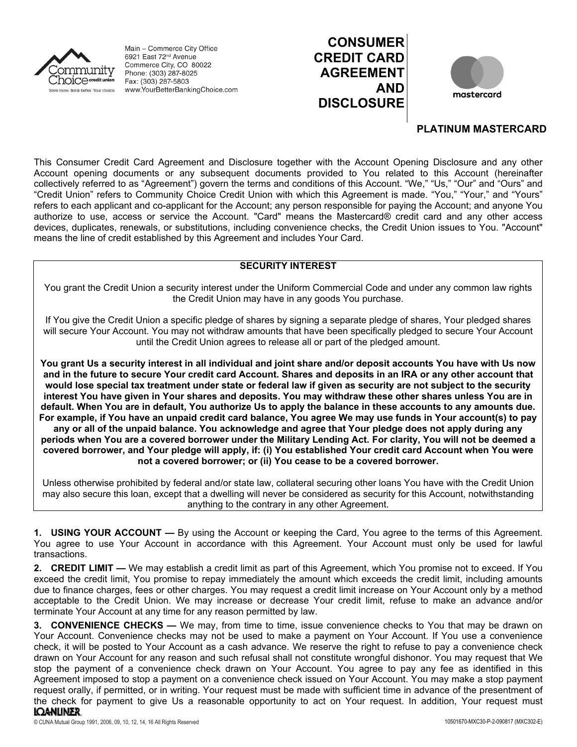

Main - Commerce City Office 6921 East 72<sup>nd</sup> Avenue Commerce City, CO 80022 Phone: (303) 287-8025 Fax: (303) 287-5803 www.YourBetterBankingChoice.com





## **PLATINUM MASTERCARD**

This Consumer Credit Card Agreement and Disclosure together with the Account Opening Disclosure and any other Account opening documents or any subsequent documents provided to You related to this Account (hereinafter collectively referred to as "Agreement") govern the terms and conditions of this Account. "We," "Us," "Our" and "Ours" and "Credit Union" refers to Community Choice Credit Union with which this Agreement is made. "You," "Your," and "Yours" refers to each applicant and co-applicant for the Account; any person responsible for paying the Account; and anyone You authorize to use, access or service the Account. "Card" means the Mastercard® credit card and any other access devices, duplicates, renewals, or substitutions, including convenience checks, the Credit Union issues to You. "Account" means the line of credit established by this Agreement and includes Your Card.

## **SECURITY INTEREST**

You grant the Credit Union a security interest under the Uniform Commercial Code and under any common law rights the Credit Union may have in any goods You purchase.

If You give the Credit Union a specific pledge of shares by signing a separate pledge of shares, Your pledged shares will secure Your Account. You may not withdraw amounts that have been specifically pledged to secure Your Account until the Credit Union agrees to release all or part of the pledged amount.

**You grant Us a security interest in all individual and joint share and/or deposit accounts You have with Us now and in the future to secure Your credit card Account. Shares and deposits in an IRA or any other account that would lose special tax treatment under state or federal law if given as security are not subject to the security interest You have given in Your shares and deposits. You may withdraw these other shares unless You are in default. When You are in default, You authorize Us to apply the balance in these accounts to any amounts due. For example, if You have an unpaid credit card balance, You agree We may use funds in Your account(s) to pay any or all of the unpaid balance. You acknowledge and agree that Your pledge does not apply during any periods when You are a covered borrower under the Military Lending Act. For clarity, You will not be deemed a covered borrower, and Your pledge will apply, if: (i) You established Your credit card Account when You were not a covered borrower; or (ii) You cease to be a covered borrower.**

Unless otherwise prohibited by federal and/or state law, collateral securing other loans You have with the Credit Union may also secure this loan, except that a dwelling will never be considered as security for this Account, notwithstanding anything to the contrary in any other Agreement.

**1. USING YOUR ACCOUNT —** By using the Account or keeping the Card, You agree to the terms of this Agreement. You agree to use Your Account in accordance with this Agreement. Your Account must only be used for lawful transactions.

**2. CREDIT LIMIT —** We may establish a credit limit as part of this Agreement, which You promise not to exceed. If You exceed the credit limit, You promise to repay immediately the amount which exceeds the credit limit, including amounts due to finance charges, fees or other charges. You may request a credit limit increase on Your Account only by a method acceptable to the Credit Union. We may increase or decrease Your credit limit, refuse to make an advance and/or terminate Your Account at any time for any reason permitted by law.

**3. CONVENIENCE CHECKS —** We may, from time to time, issue convenience checks to You that may be drawn on Your Account. Convenience checks may not be used to make a payment on Your Account. If You use a convenience check, it will be posted to Your Account as a cash advance. We reserve the right to refuse to pay a convenience check drawn on Your Account for any reason and such refusal shall not constitute wrongful dishonor. You may request that We stop the payment of a convenience check drawn on Your Account. You agree to pay any fee as identified in this Agreement imposed to stop a payment on a convenience check issued on Your Account. You may make a stop payment request orally, if permitted, or in writing. Your request must be made with sufficient time in advance of the presentment of the check for payment to give Us a reasonable opportunity to act on Your request. In addition, Your request must**IQANLINER**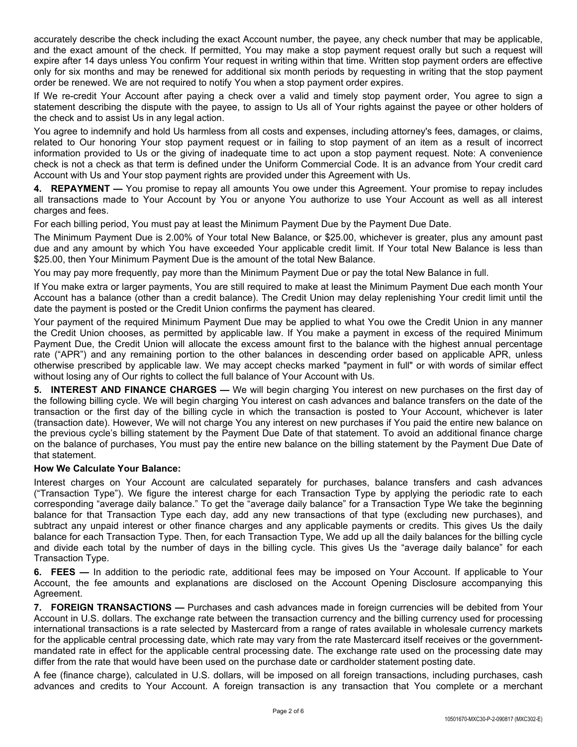accurately describe the check including the exact Account number, the payee, any check number that may be applicable, and the exact amount of the check. If permitted, You may make a stop payment request orally but such a request will expire after 14 days unless You confirm Your request in writing within that time. Written stop payment orders are effective only for six months and may be renewed for additional six month periods by requesting in writing that the stop payment order be renewed. We are not required to notify You when a stop payment order expires.

If We re-credit Your Account after paying a check over a valid and timely stop payment order, You agree to sign a statement describing the dispute with the payee, to assign to Us all of Your rights against the payee or other holders of the check and to assist Us in any legal action.

You agree to indemnify and hold Us harmless from all costs and expenses, including attorney's fees, damages, or claims, related to Our honoring Your stop payment request or in failing to stop payment of an item as a result of incorrect information provided to Us or the giving of inadequate time to act upon a stop payment request. Note: A convenience check is not a check as that term is defined under the Uniform Commercial Code. It is an advance from Your credit card Account with Us and Your stop payment rights are provided under this Agreement with Us.

**4. REPAYMENT —** You promise to repay all amounts You owe under this Agreement. Your promise to repay includes all transactions made to Your Account by You or anyone You authorize to use Your Account as well as all interest charges and fees.

For each billing period, You must pay at least the Minimum Payment Due by the Payment Due Date.

The Minimum Payment Due is 2.00% of Your total New Balance, or \$25.00, whichever is greater, plus any amount past due and any amount by which You have exceeded Your applicable credit limit. If Your total New Balance is less than \$25.00, then Your Minimum Payment Due is the amount of the total New Balance.

You may pay more frequently, pay more than the Minimum Payment Due or pay the total New Balance in full.

If You make extra or larger payments, You are still required to make at least the Minimum Payment Due each month Your Account has a balance (other than a credit balance). The Credit Union may delay replenishing Your credit limit until the date the payment is posted or the Credit Union confirms the payment has cleared.

Your payment of the required Minimum Payment Due may be applied to what You owe the Credit Union in any manner the Credit Union chooses, as permitted by applicable law. If You make a payment in excess of the required Minimum Payment Due, the Credit Union will allocate the excess amount first to the balance with the highest annual percentage rate ("APR") and any remaining portion to the other balances in descending order based on applicable APR, unless otherwise prescribed by applicable law. We may accept checks marked "payment in full" or with words of similar effect without losing any of Our rights to collect the full balance of Your Account with Us.

**5. INTEREST AND FINANCE CHARGES —** We will begin charging You interest on new purchases on the first day of the following billing cycle. We will begin charging You interest on cash advances and balance transfers on the date of the transaction or the first day of the billing cycle in which the transaction is posted to Your Account, whichever is later (transaction date). However, We will not charge You any interest on new purchases if You paid the entire new balance on the previous cycle's billing statement by the Payment Due Date of that statement. To avoid an additional finance charge on the balance of purchases, You must pay the entire new balance on the billing statement by the Payment Due Date of that statement.

### **How We Calculate Your Balance:**

Interest charges on Your Account are calculated separately for purchases, balance transfers and cash advances ("Transaction Type"). We figure the interest charge for each Transaction Type by applying the periodic rate to each corresponding "average daily balance." To get the "average daily balance" for a Transaction Type We take the beginning balance for that Transaction Type each day, add any new transactions of that type (excluding new purchases), and subtract any unpaid interest or other finance charges and any applicable payments or credits. This gives Us the daily balance for each Transaction Type. Then, for each Transaction Type, We add up all the daily balances for the billing cycle and divide each total by the number of days in the billing cycle. This gives Us the "average daily balance" for each Transaction Type.

**6. FEES —** In addition to the periodic rate, additional fees may be imposed on Your Account. If applicable to Your Account, the fee amounts and explanations are disclosed on the Account Opening Disclosure accompanying this Agreement.

**7. FOREIGN TRANSACTIONS —** Purchases and cash advances made in foreign currencies will be debited from Your Account in U.S. dollars. The exchange rate between the transaction currency and the billing currency used for processing international transactions is a rate selected by Mastercard from a range of rates available in wholesale currency markets for the applicable central processing date, which rate may vary from the rate Mastercard itself receives or the governmentmandated rate in effect for the applicable central processing date. The exchange rate used on the processing date may differ from the rate that would have been used on the purchase date or cardholder statement posting date.

A fee (finance charge), calculated in U.S. dollars, will be imposed on all foreign transactions, including purchases, cash advances and credits to Your Account. A foreign transaction is any transaction that You complete or a merchant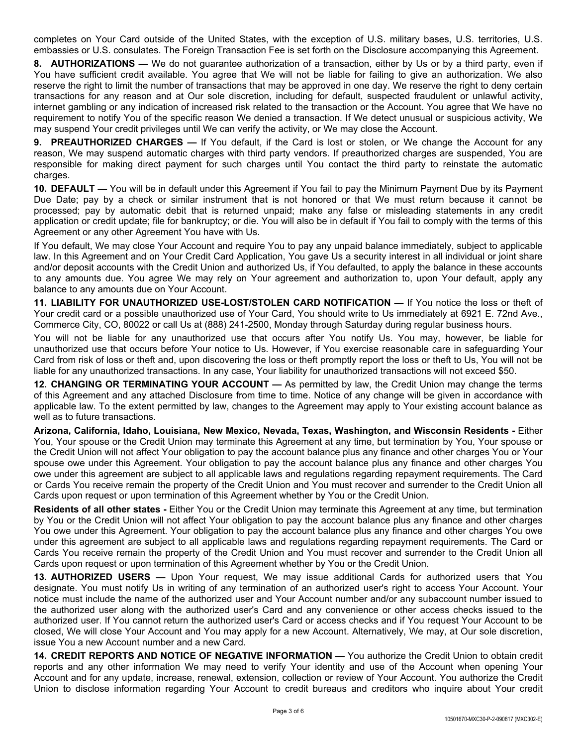completes on Your Card outside of the United States, with the exception of U.S. military bases, U.S. territories, U.S. embassies or U.S. consulates. The Foreign Transaction Fee is set forth on the Disclosure accompanying this Agreement.

**8. AUTHORIZATIONS —** We do not guarantee authorization of a transaction, either by Us or by a third party, even if You have sufficient credit available. You agree that We will not be liable for failing to give an authorization. We also reserve the right to limit the number of transactions that may be approved in one day. We reserve the right to deny certain transactions for any reason and at Our sole discretion, including for default, suspected fraudulent or unlawful activity, internet gambling or any indication of increased risk related to the transaction or the Account. You agree that We have no requirement to notify You of the specific reason We denied a transaction. If We detect unusual or suspicious activity, We may suspend Your credit privileges until We can verify the activity, or We may close the Account.

**9. PREAUTHORIZED CHARGES —** If You default, if the Card is lost or stolen, or We change the Account for any reason, We may suspend automatic charges with third party vendors. If preauthorized charges are suspended, You are responsible for making direct payment for such charges until You contact the third party to reinstate the automatic charges.

**10. DEFAULT —** You will be in default under this Agreement if You fail to pay the Minimum Payment Due by its Payment Due Date; pay by a check or similar instrument that is not honored or that We must return because it cannot be processed; pay by automatic debit that is returned unpaid; make any false or misleading statements in any credit application or credit update; file for bankruptcy; or die. You will also be in default if You fail to comply with the terms of this Agreement or any other Agreement You have with Us.

If You default, We may close Your Account and require You to pay any unpaid balance immediately, subject to applicable law. In this Agreement and on Your Credit Card Application, You gave Us a security interest in all individual or joint share and/or deposit accounts with the Credit Union and authorized Us, if You defaulted, to apply the balance in these accounts to any amounts due. You agree We may rely on Your agreement and authorization to, upon Your default, apply any balance to any amounts due on Your Account.

**11. LIABILITY FOR UNAUTHORIZED USE-LOST/STOLEN CARD NOTIFICATION —** If You notice the loss or theft of Your credit card or a possible unauthorized use of Your Card, You should write to Us immediately at 6921 E. 72nd Ave., Commerce City, CO, 80022 or call Us at (888) 241-2500, Monday through Saturday during regular business hours.

You will not be liable for any unauthorized use that occurs after You notify Us. You may, however, be liable for unauthorized use that occurs before Your notice to Us. However, if You exercise reasonable care in safeguarding Your Card from risk of loss or theft and, upon discovering the loss or theft promptly report the loss or theft to Us, You will not be liable for any unauthorized transactions. In any case, Your liability for unauthorized transactions will not exceed \$50.

**12. CHANGING OR TERMINATING YOUR ACCOUNT —** As permitted by law, the Credit Union may change the terms of this Agreement and any attached Disclosure from time to time. Notice of any change will be given in accordance with applicable law. To the extent permitted by law, changes to the Agreement may apply to Your existing account balance as well as to future transactions.

**Arizona, California, Idaho, Louisiana, New Mexico, Nevada, Texas, Washington, and Wisconsin Residents -** Either You, Your spouse or the Credit Union may terminate this Agreement at any time, but termination by You, Your spouse or the Credit Union will not affect Your obligation to pay the account balance plus any finance and other charges You or Your spouse owe under this Agreement. Your obligation to pay the account balance plus any finance and other charges You owe under this agreement are subject to all applicable laws and regulations regarding repayment requirements. The Card or Cards You receive remain the property of the Credit Union and You must recover and surrender to the Credit Union all Cards upon request or upon termination of this Agreement whether by You or the Credit Union.

**Residents of all other states -** Either You or the Credit Union may terminate this Agreement at any time, but termination by You or the Credit Union will not affect Your obligation to pay the account balance plus any finance and other charges You owe under this Agreement. Your obligation to pay the account balance plus any finance and other charges You owe under this agreement are subject to all applicable laws and regulations regarding repayment requirements. The Card or Cards You receive remain the property of the Credit Union and You must recover and surrender to the Credit Union all Cards upon request or upon termination of this Agreement whether by You or the Credit Union.

**13. AUTHORIZED USERS —** Upon Your request, We may issue additional Cards for authorized users that You designate. You must notify Us in writing of any termination of an authorized user's right to access Your Account. Your notice must include the name of the authorized user and Your Account number and/or any subaccount number issued to the authorized user along with the authorized user's Card and any convenience or other access checks issued to the authorized user. If You cannot return the authorized user's Card or access checks and if You request Your Account to be closed, We will close Your Account and You may apply for a new Account. Alternatively, We may, at Our sole discretion, issue You a new Account number and a new Card.

**14. CREDIT REPORTS AND NOTICE OF NEGATIVE INFORMATION —** You authorize the Credit Union to obtain credit reports and any other information We may need to verify Your identity and use of the Account when opening Your Account and for any update, increase, renewal, extension, collection or review of Your Account. You authorize the Credit Union to disclose information regarding Your Account to credit bureaus and creditors who inquire about Your credit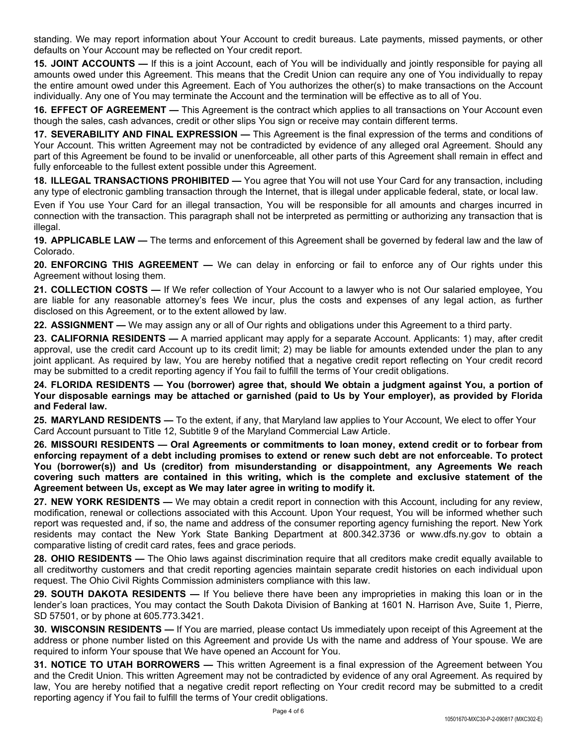standing. We may report information about Your Account to credit bureaus. Late payments, missed payments, or other defaults on Your Account may be reflected on Your credit report.

**15. JOINT ACCOUNTS —** If this is a joint Account, each of You will be individually and jointly responsible for paying all amounts owed under this Agreement. This means that the Credit Union can require any one of You individually to repay the entire amount owed under this Agreement. Each of You authorizes the other(s) to make transactions on the Account individually. Any one of You may terminate the Account and the termination will be effective as to all of You.

**16. EFFECT OF AGREEMENT —** This Agreement is the contract which applies to all transactions on Your Account even though the sales, cash advances, credit or other slips You sign or receive may contain different terms.

**17. SEVERABILITY AND FINAL EXPRESSION —** This Agreement is the final expression of the terms and conditions of Your Account. This written Agreement may not be contradicted by evidence of any alleged oral Agreement. Should any part of this Agreement be found to be invalid or unenforceable, all other parts of this Agreement shall remain in effect and fully enforceable to the fullest extent possible under this Agreement.

**18. ILLEGAL TRANSACTIONS PROHIBITED —** You agree that You will not use Your Card for any transaction, including any type of electronic gambling transaction through the Internet, that is illegal under applicable federal, state, or local law.

Even if You use Your Card for an illegal transaction, You will be responsible for all amounts and charges incurred in connection with the transaction. This paragraph shall not be interpreted as permitting or authorizing any transaction that is illegal.

**19. APPLICABLE LAW —** The terms and enforcement of this Agreement shall be governed by federal law and the law of Colorado.

**20. ENFORCING THIS AGREEMENT —** We can delay in enforcing or fail to enforce any of Our rights under this Agreement without losing them.

**21. COLLECTION COSTS —** If We refer collection of Your Account to a lawyer who is not Our salaried employee, You are liable for any reasonable attorney's fees We incur, plus the costs and expenses of any legal action, as further disclosed on this Agreement, or to the extent allowed by law.

**22. ASSIGNMENT —** We may assign any or all of Our rights and obligations under this Agreement to a third party.

**23. CALIFORNIA RESIDENTS —** A married applicant may apply for a separate Account. Applicants: 1) may, after credit approval, use the credit card Account up to its credit limit; 2) may be liable for amounts extended under the plan to any joint applicant. As required by law, You are hereby notified that a negative credit report reflecting on Your credit record may be submitted to a credit reporting agency if You fail to fulfill the terms of Your credit obligations.

24. FLORIDA RESIDENTS — You (borrower) agree that, should We obtain a judgment against You, a portion of Your disposable earnings may be attached or garnished (paid to Us by Your employer), as provided by Florida **and Federal law.**

**25. MARYLAND RESIDENTS —** To the extent, if any, that Maryland law applies to Your Account, We elect to offer Your Card Account pursuant to Title 12, Subtitle 9 of the Maryland Commercial Law Article.

**26. MISSOURI RESIDENTS — Oral Agreements or commitments to loan money, extend credit or to forbear from** enforcing repayment of a debt including promises to extend or renew such debt are not enforceable. To protect **You (borrower(s)) and Us (creditor) from misunderstanding or disappointment, any Agreements We reach covering such matters are contained in this writing, which is the complete and exclusive statement of the Agreement between Us, except as We may later agree in writing to modify it.**

**27. NEW YORK RESIDENTS —** We may obtain a credit report in connection with this Account, including for any review, modification, renewal or collections associated with this Account. Upon Your request, You will be informed whether such report was requested and, if so, the name and address of the consumer reporting agency furnishing the report. New York residents may contact the New York State Banking Department at 800.342.3736 or www.dfs.ny.gov to obtain a comparative listing of credit card rates, fees and grace periods.

**28. OHIO RESIDENTS —** The Ohio laws against discrimination require that all creditors make credit equally available to all creditworthy customers and that credit reporting agencies maintain separate credit histories on each individual upon request. The Ohio Civil Rights Commission administers compliance with this law.

**29. SOUTH DAKOTA RESIDENTS —** If You believe there have been any improprieties in making this loan or in the lender's loan practices, You may contact the South Dakota Division of Banking at 1601 N. Harrison Ave, Suite 1, Pierre, SD 57501, or by phone at 605.773.3421.

**30. WISCONSIN RESIDENTS —** If You are married, please contact Us immediately upon receipt of this Agreement at the address or phone number listed on this Agreement and provide Us with the name and address of Your spouse. We are required to inform Your spouse that We have opened an Account for You.

**31. NOTICE TO UTAH BORROWERS —** This written Agreement is a final expression of the Agreement between You and the Credit Union. This written Agreement may not be contradicted by evidence of any oral Agreement. As required by law, You are hereby notified that a negative credit report reflecting on Your credit record may be submitted to a credit reporting agency if You fail to fulfill the terms of Your credit obligations.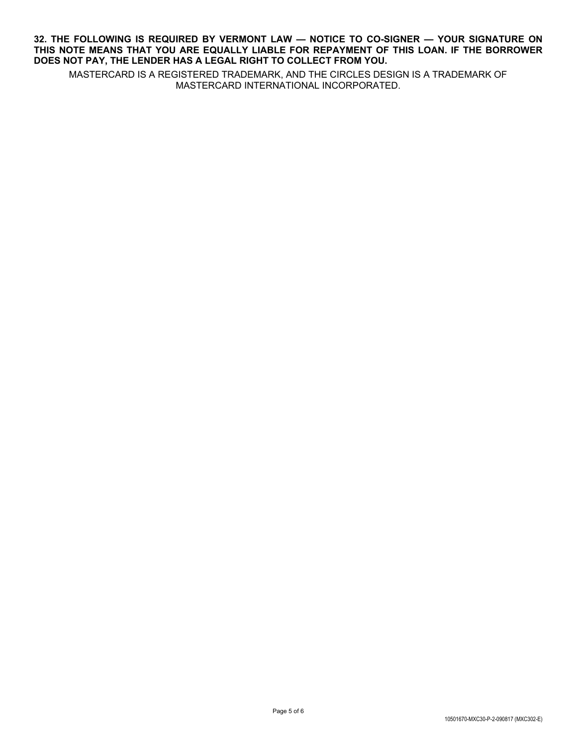## **32. THE FOLLOWING IS REQUIRED BY VERMONT LAW — NOTICE TO CO-SIGNER — YOUR SIGNATURE ON THIS NOTE MEANS THAT YOU ARE EQUALLY LIABLE FOR REPAYMENT OF THIS LOAN. IF THE BORROWER DOES NOT PAY, THE LENDER HAS A LEGAL RIGHT TO COLLECT FROM YOU.**

MASTERCARD IS A REGISTERED TRADEMARK, AND THE CIRCLES DESIGN IS A TRADEMARK OF MASTERCARD INTERNATIONAL INCORPORATED.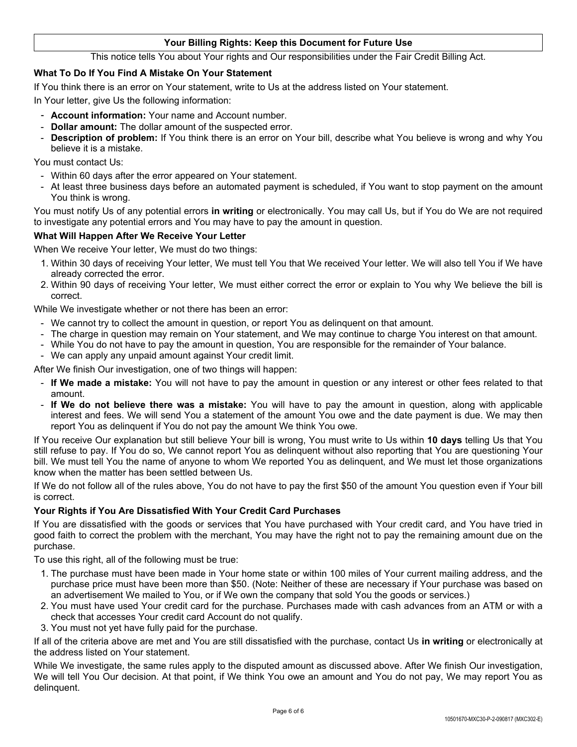## **Your Billing Rights: Keep this Document for Future Use**

This notice tells You about Your rights and Our responsibilities under the Fair Credit Billing Act.

## **What To Do If You Find A Mistake On Your Statement**

If You think there is an error on Your statement, write to Us at the address listed on Your statement.

In Your letter, give Us the following information:

- **Account information:** Your name and Account number.
- **Dollar amount:** The dollar amount of the suspected error.
- **Description of problem:** If You think there is an error on Your bill, describe what You believe is wrong and why You believe it is a mistake.

You must contact Us:

- Within 60 days after the error appeared on Your statement.
- At least three business days before an automated payment is scheduled, if You want to stop payment on the amount You think is wrong.

You must notify Us of any potential errors **in writing** or electronically. You may call Us, but if You do We are not required to investigate any potential errors and You may have to pay the amount in question.

### **What Will Happen After We Receive Your Letter**

When We receive Your letter, We must do two things:

- 1. Within 30 days of receiving Your letter, We must tell You that We received Your letter. We will also tell You if We have already corrected the error.
- 2. Within 90 days of receiving Your letter, We must either correct the error or explain to You why We believe the bill is correct.

While We investigate whether or not there has been an error:

- We cannot try to collect the amount in question, or report You as delinquent on that amount.
- The charge in question may remain on Your statement, and We may continue to charge You interest on that amount.
- While You do not have to pay the amount in question, You are responsible for the remainder of Your balance.
- We can apply any unpaid amount against Your credit limit.

After We finish Our investigation, one of two things will happen:

- **If We made a mistake:** You will not have to pay the amount in question or any interest or other fees related to that amount.
- **If We do not believe there was a mistake:** You will have to pay the amount in question, along with applicable interest and fees. We will send You a statement of the amount You owe and the date payment is due. We may then report You as delinquent if You do not pay the amount We think You owe.

If You receive Our explanation but still believe Your bill is wrong, You must write to Us within **10 days** telling Us that You still refuse to pay. If You do so, We cannot report You as delinquent without also reporting that You are questioning Your bill. We must tell You the name of anyone to whom We reported You as delinquent, and We must let those organizations know when the matter has been settled between Us.

If We do not follow all of the rules above, You do not have to pay the first \$50 of the amount You question even if Your bill is correct.

### **Your Rights if You Are Dissatisfied With Your Credit Card Purchases**

If You are dissatisfied with the goods or services that You have purchased with Your credit card, and You have tried in good faith to correct the problem with the merchant, You may have the right not to pay the remaining amount due on the purchase.

To use this right, all of the following must be true:

- 1. The purchase must have been made in Your home state or within 100 miles of Your current mailing address, and the purchase price must have been more than \$50. (Note: Neither of these are necessary if Your purchase was based on an advertisement We mailed to You, or if We own the company that sold You the goods or services.)
- 2. You must have used Your credit card for the purchase. Purchases made with cash advances from an ATM or with a check that accesses Your credit card Account do not qualify.
- 3. You must not yet have fully paid for the purchase.

If all of the criteria above are met and You are still dissatisfied with the purchase, contact Us **in writing** or electronically at the address listed on Your statement.

While We investigate, the same rules apply to the disputed amount as discussed above. After We finish Our investigation, We will tell You Our decision. At that point, if We think You owe an amount and You do not pay, We may report You as delinquent.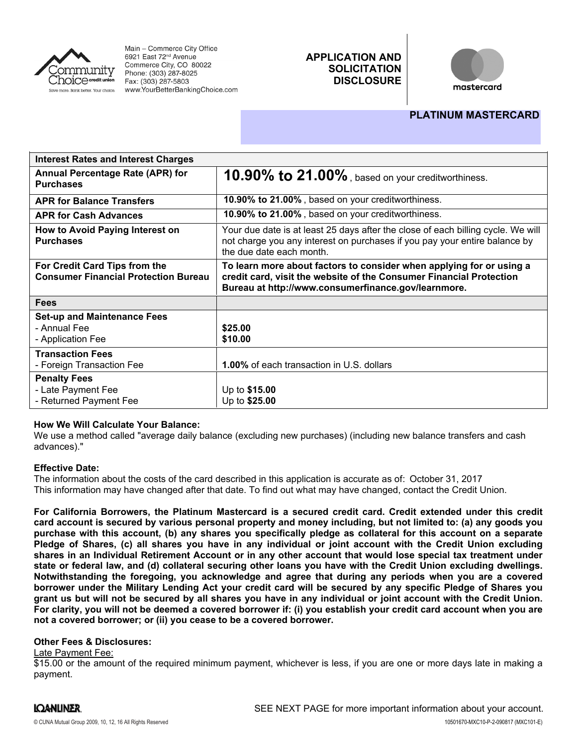

Main - Commerce City Office 6921 East 72<sup>nd</sup> Avenue Commerce City, CO 80022 Phone: (303) 287-8025 Fax: (303) 287-5803 www.YourBetterBankingChoice.com

# **APPLICATION AND SOLICITATION DISCLOSURE**



# **PLATINUM MASTERCARD**

| <b>Interest Rates and Interest Charges</b>                                   |                                                                                                                                                                                                    |
|------------------------------------------------------------------------------|----------------------------------------------------------------------------------------------------------------------------------------------------------------------------------------------------|
| Annual Percentage Rate (APR) for<br><b>Purchases</b>                         | 10.90% to 21.00%, based on your creditworthiness.                                                                                                                                                  |
| <b>APR for Balance Transfers</b>                                             | 10.90% to 21.00%, based on your creditworthiness.                                                                                                                                                  |
| <b>APR for Cash Advances</b>                                                 | 10.90% to 21.00%, based on your creditworthiness.                                                                                                                                                  |
| How to Avoid Paying Interest on<br><b>Purchases</b>                          | Your due date is at least 25 days after the close of each billing cycle. We will<br>not charge you any interest on purchases if you pay your entire balance by<br>the due date each month.         |
| For Credit Card Tips from the<br><b>Consumer Financial Protection Bureau</b> | To learn more about factors to consider when applying for or using a<br>credit card, visit the website of the Consumer Financial Protection<br>Bureau at http://www.consumerfinance.gov/learnmore. |
| <b>Fees</b>                                                                  |                                                                                                                                                                                                    |
| <b>Set-up and Maintenance Fees</b><br>- Annual Fee<br>- Application Fee      | \$25.00<br>\$10.00                                                                                                                                                                                 |
| <b>Transaction Fees</b><br>- Foreign Transaction Fee                         | 1.00% of each transaction in U.S. dollars                                                                                                                                                          |
| <b>Penalty Fees</b><br>- Late Payment Fee<br>- Returned Payment Fee          | Up to \$15.00<br>Up to \$25.00                                                                                                                                                                     |

### **How We Will Calculate Your Balance:**

We use a method called "average daily balance (excluding new purchases) (including new balance transfers and cash advances)."

### **Effective Date:**

The information about the costs of the card described in this application is accurate as of: October 31, 2017This information may have changed after that date. To find out what may have changed, contact the Credit Union.

**For California Borrowers, the Platinum Mastercard is a secured credit card. Credit extended under this credit** card account is secured by various personal property and money including, but not limited to: (a) any goods you purchase with this account, (b) any shares you specifically pledge as collateral for this account on a separate Pledge of Shares, (c) all shares you have in any individual or joint account with the Credit Union excluding shares in an Individual Retirement Account or in any other account that would lose special tax treatment under state or federal law, and (d) collateral securing other loans you have with the Credit Union excluding dwellings. **Notwithstanding the foregoing, you acknowledge and agree that during any periods when you are a covered** borrower under the Military Lending Act your credit card will be secured by any specific Pledge of Shares you grant us but will not be secured by all shares you have in any individual or joint account with the Credit Union. For clarity, you will not be deemed a covered borrower if: (i) you establish your credit card account when you are **not a covered borrower; or (ii) you cease to be a covered borrower.**

#### **Other Fees & Disclosures:**

#### Late Payment Fee:

\$15.00 or the amount of the required minimum payment, whichever is less, if you are one or more days late in making a payment.